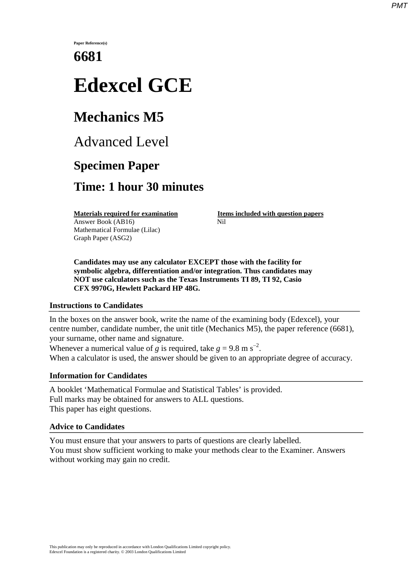**Paper Reference(s)**

# **6681**

# **Edexcel GCE**

# **Mechanics M5**

Advanced Level

### **Specimen Paper**

### **Time: 1 hour 30 minutes**

Answer Book (AB16) **Nil** Mathematical Formulae (Lilac) Graph Paper (ASG2)

**Materials required for examination Items included with question papers** 

**Candidates may use any calculator EXCEPT those with the facility for symbolic algebra, differentiation and/or integration. Thus candidates may NOT use calculators such as the Texas Instruments TI 89, TI 92, Casio CFX 9970G, Hewlett Packard HP 48G.**

#### **Instructions to Candidates**

In the boxes on the answer book, write the name of the examining body (Edexcel), your centre number, candidate number, the unit title (Mechanics M5), the paper reference (6681), your surname, other name and signature.

Whenever a numerical value of *g* is required, take  $g = 9.8 \text{ m s}^{-2}$ . When a calculator is used, the answer should be given to an appropriate degree of accuracy.

### **Information for Candidates**

A booklet 'Mathematical Formulae and Statistical Tables' is provided. Full marks may be obtained for answers to ALL questions. This paper has eight questions.

### **Advice to Candidates**

You must ensure that your answers to parts of questions are clearly labelled. You must show sufficient working to make your methods clear to the Examiner. Answers without working may gain no credit.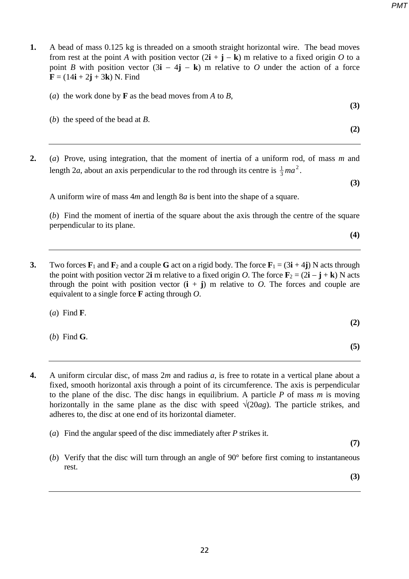- **1.** A bead of mass 0.125 kg is threaded on a smooth straight horizontal wire. The bead moves from rest at the point *A* with position vector  $(2\mathbf{i} + \mathbf{j} - \mathbf{k})$  m relative to a fixed origin *O* to a point *B* with position vector  $(3\mathbf{i} - 4\mathbf{j} - \mathbf{k})$  m relative to *O* under the action of a force  **N. Find** 
	- (*a*) the work done by **F** as the bead moves from *A* to *B*,
	- **(3)** (*b*) the speed of the bead at *B*.
- **2.** (*a*) Prove, using integration, that the moment of inertia of a uniform rod, of mass *m* and length 2*a*, about an axis perpendicular to the rod through its centre is  $\frac{1}{3}$  *ma*<sup>2</sup>.

**(3)**

**(2)**

A uniform wire of mass 4*m* and length 8*a* is bent into the shape of a square.

(*b*) Find the moment of inertia of the square about the axis through the centre of the square perpendicular to its plane.

**(4)**

**3.** Two forces  $\mathbf{F}_1$  and  $\mathbf{F}_2$  and a couple **G** act on a rigid body. The force  $\mathbf{F}_1 = (3\mathbf{i} + 4\mathbf{j})$  N acts through the point with position vector 2**i** m relative to a fixed origin *O*. The force  $\mathbf{F}_2 = (2\mathbf{i} - \mathbf{j} + \mathbf{k})$  N acts through the point with position vector  $(i + j)$  m relative to *O*. The forces and couple are equivalent to a single force **F** acting through *O*.

(*a*) Find **F**. **(2)**

- (*b*) Find **G**.
- **4.** A uniform circular disc, of mass 2*m* and radius *a*, is free to rotate in a vertical plane about a fixed, smooth horizontal axis through a point of its circumference. The axis is perpendicular to the plane of the disc. The disc hangs in equilibrium. A particle *P* of mass *m* is moving horizontally in the same plane as the disc with speed  $\sqrt{(20ag)}$ . The particle strikes, and adheres to, the disc at one end of its horizontal diameter.
	- (*a*) Find the angular speed of the disc immediately after *P* strikes it.

**(7)**

**(5)**

(*b*) Verify that the disc will turn through an angle of  $90^\circ$  before first coming to instantaneous rest.

**(3)**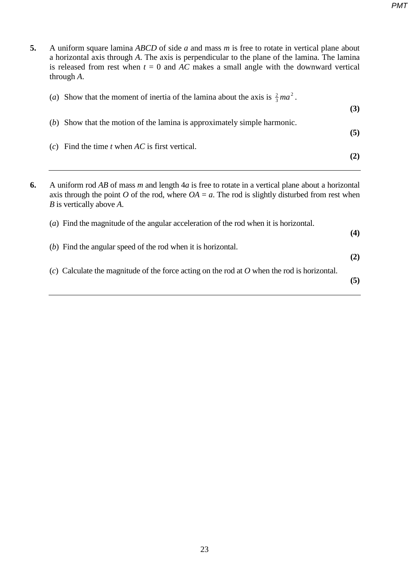**5.** A uniform square lamina *ABCD* of side *a* and mass *m* is free to rotate in vertical plane about a horizontal axis through *A*. The axis is perpendicular to the plane of the lamina. The lamina is released from rest when  $t = 0$  and  $\overline{AC}$  makes a small angle with the downward vertical through *A*. (*a*) Show that the moment of inertia of the lamina about the axis is  $\frac{2}{3}ma^2$ . **(3)** (*b*) Show that the motion of the lamina is approximately simple harmonic. **(5)** (*c*) Find the time *t* when *AC* is first vertical. **(2) 6.** A uniform rod *AB* of mass *m* and length 4*a* is free to rotate in a vertical plane about a horizontal axis through the point *O* of the rod, where  $OA = a$ . The rod is slightly disturbed from rest when *B* is vertically above *A*. (*a*) Find the magnitude of the angular acceleration of the rod when it is horizontal. **(4)** (*b*) Find the angular speed of the rod when it is horizontal. **(2)** (*c*) Calculate the magnitude of the force acting on the rod at *O* when the rod is horizontal. **(5)**